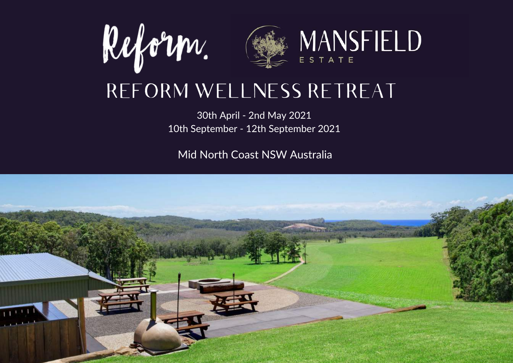

## REFORM WELLNESS RETREAT

30th April - 2nd May 2021 10th September - 12th September 2021

Mid North Coast NSW Australia

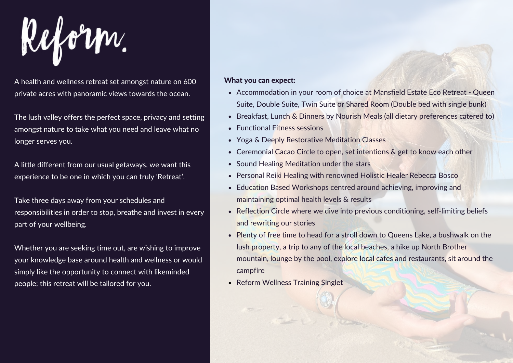

A health and wellness retreat set amongst nature on 600 What you can expect: private acres with panoramic views towards the ocean.

The lush valley offers the perfect space, privacy and setting amongst nature to take what you need and leave what no longer serves you.

A little different from our usual getaways, we want this experience to be one in which you can truly 'Retreat'.

Take three days away from your schedules and responsibilities in order to stop, breathe and invest in every part of your wellbeing.

Whether you are seeking time out, are wishing to improve your knowledge base around health and wellness or would simply like the opportunity to connect with likeminded people; this retreat will be tailored for you.

- Accommodation in your room of choice at Mansfield Estate Eco Retreat Queen Suite, Double Suite, Twin Suite or Shared Room (Double bed with single bunk)
- Breakfast, Lunch & Dinners by Nourish Meals (all dietary preferences catered to)  $\bullet$
- Functional Fitness sessions
- Yoga & Deeply Restorative Meditation Classes  $\bullet$
- Ceremonial Cacao Circle to open, set intentions & get to know each other
- Sound Healing Meditation under the stars  $\bullet$
- Personal Reiki Healing with renowned Holistic Healer Rebecca Bosco
- Education Based Workshops centred around achieving, improving and maintaining optimal health levels & results
- Reflection Circle where we dive into previous conditioning, self-limiting beliefs and rewriting our stories
- Plenty of free time to head for a stroll down to Queens Lake, a bushwalk on the lush property, a trip to any of the local beaches, a hike up North Brother mountain, lounge by the pool, explore local cafes and restaurants, sit around the campfire
- Reform Wellness Training Singlet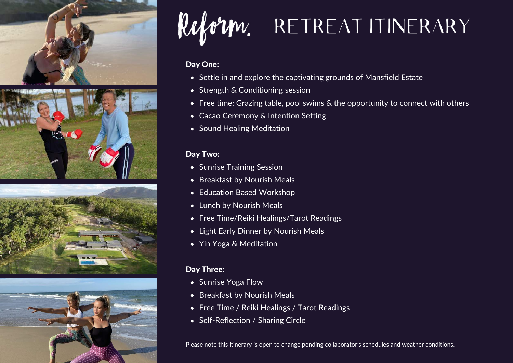









# Reform. RETREAT ITINERARY

#### Day One:

- Settle in and explore the captivating grounds of Mansfield Estate
- Strength & Conditioning session
- Free time: Grazing table, pool swims & the opportunity to connect with others
- Cacao Ceremony & Intention Setting
- Sound Healing Meditation

#### Day Two:

- Sunrise Training Session
- Breakfast by Nourish Meals
- Education Based Workshop
- Lunch by Nourish Meals
- Free Time/Reiki Healings/Tarot Readings
- Light Early Dinner by Nourish Meals
- Yin Yoga & Meditation

#### Day Three:

- Sunrise Yoga Flow
- Breakfast by Nourish Meals
- Free Time / Reiki Healings / Tarot Readings
- Self-Reflection / Sharing Circle

Please note this itinerary is open to change pending collaborator's schedules and weather conditions.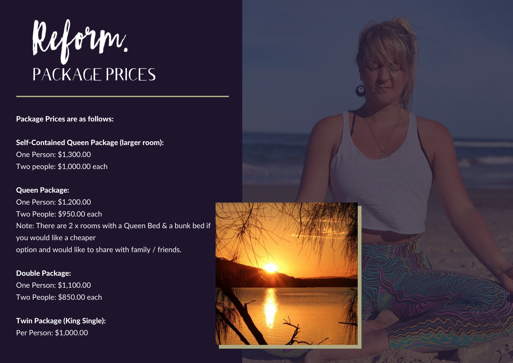

#### Package Prices are as follows:

Self-Contained Queen Package (larger room): One Person: \$1,300.00 Two people: \$1,000.00 each

#### Queen Package:

One Person: \$1,200.00 Two People: \$950.00 each Note: There are 2 x rooms with a Queen Bed & a bunk bed if you would like a cheaper option and would like to share with family / friends.

Double Package: One Person: \$1,100.00 Two People: \$850.00 each

Twin Package (King Single): Per Person: \$1,000.00

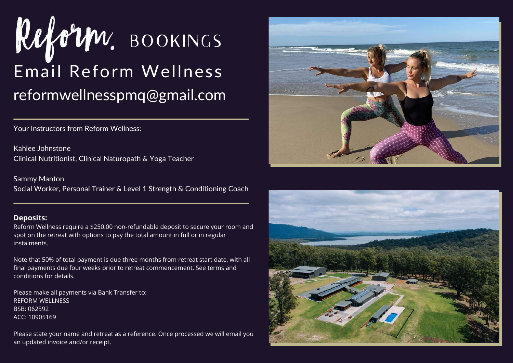

Your Instructors from Reform Wellness:

Kahlee Johnstone Clinical Nutritionist, Clinical Naturopath & Yoga Teacher

Sammy Manton Social Worker, Personal Trainer & Level 1 Strength & Conditioning Coach

#### **Deposits:**

Reform Wellness require a \$250.00 non-refundable deposit to secure your room and spot on the retreat with options to pay the total amount in full or in regular instalments.

Note that 50% of total payment is due three months from retreat start date, with all final payments due four weeks prior to retreat commencement. See terms and conditions for details.

Please make all payments via Bank Transfer to: REFORM WELLNESS BSB: 062592 ACC: 10905169

Please state your name and retreat as a reference. Once processed we will email you an updated invoice and/or receipt.



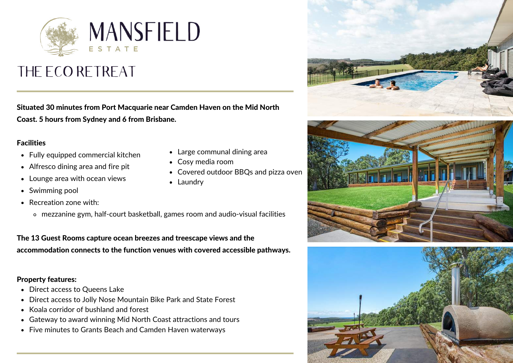

## THE ECO RETREAT

Situated 30 minutes from Port Macquarie near Camden Haven on the Mid North Coast. 5 hours from Sydney and 6 from Brisbane.

#### Facilities

- Fully equipped commercial kitchen
- Alfresco dining area and fire pit
- Lounge area with ocean views
- Swimming pool
- Recreation zone with:
	- mezzanine gym, half-court basketball, games room and audio-visual facilities

The 13 Guest Rooms capture ocean breezes and treescape views and the accommodation connects to the function venues with covered accessible pathways.

#### Property features:

- Direct access to Queens Lake
- Direct access to Jolly Nose Mountain Bike Park and State Forest
- Koala corridor of bushland and forest
- Gateway to award winning Mid North Coast attractions and tours
- Five minutes to Grants Beach and Camden Haven waterways
- Large communal dining area
- Cosy media room
- Covered outdoor BBQs and pizza oven
- Laundry